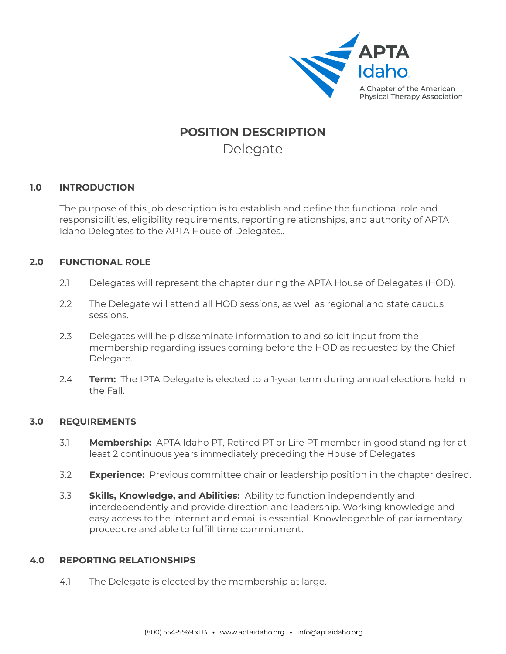

# **POSITION DESCRIPTION** Delegate

#### **1.0 INTRODUCTION**

The purpose of this job description is to establish and define the functional role and responsibilities, eligibility requirements, reporting relationships, and authority of APTA Idaho Delegates to the APTA House of Delegates..

### **2.0 FUNCTIONAL ROLE**

- 2.1 Delegates will represent the chapter during the APTA House of Delegates (HOD).
- 2.2 The Delegate will attend all HOD sessions, as well as regional and state caucus sessions.
- 2.3 Delegates will help disseminate information to and solicit input from the membership regarding issues coming before the HOD as requested by the Chief Delegate.
- 2.4 **Term:** The IPTA Delegate is elected to a 1-year term during annual elections held in the Fall.

## **3.0 REQUIREMENTS**

- 3.1 **Membership:** APTA Idaho PT, Retired PT or Life PT member in good standing for at least 2 continuous years immediately preceding the House of Delegates
- 3.2 **Experience:** Previous committee chair or leadership position in the chapter desired.
- 3.3 **Skills, Knowledge, and Abilities:** Ability to function independently and interdependently and provide direction and leadership. Working knowledge and easy access to the internet and email is essential. Knowledgeable of parliamentary procedure and able to fulfill time commitment.

## **4.0 REPORTING RELATIONSHIPS**

4.1 The Delegate is elected by the membership at large.